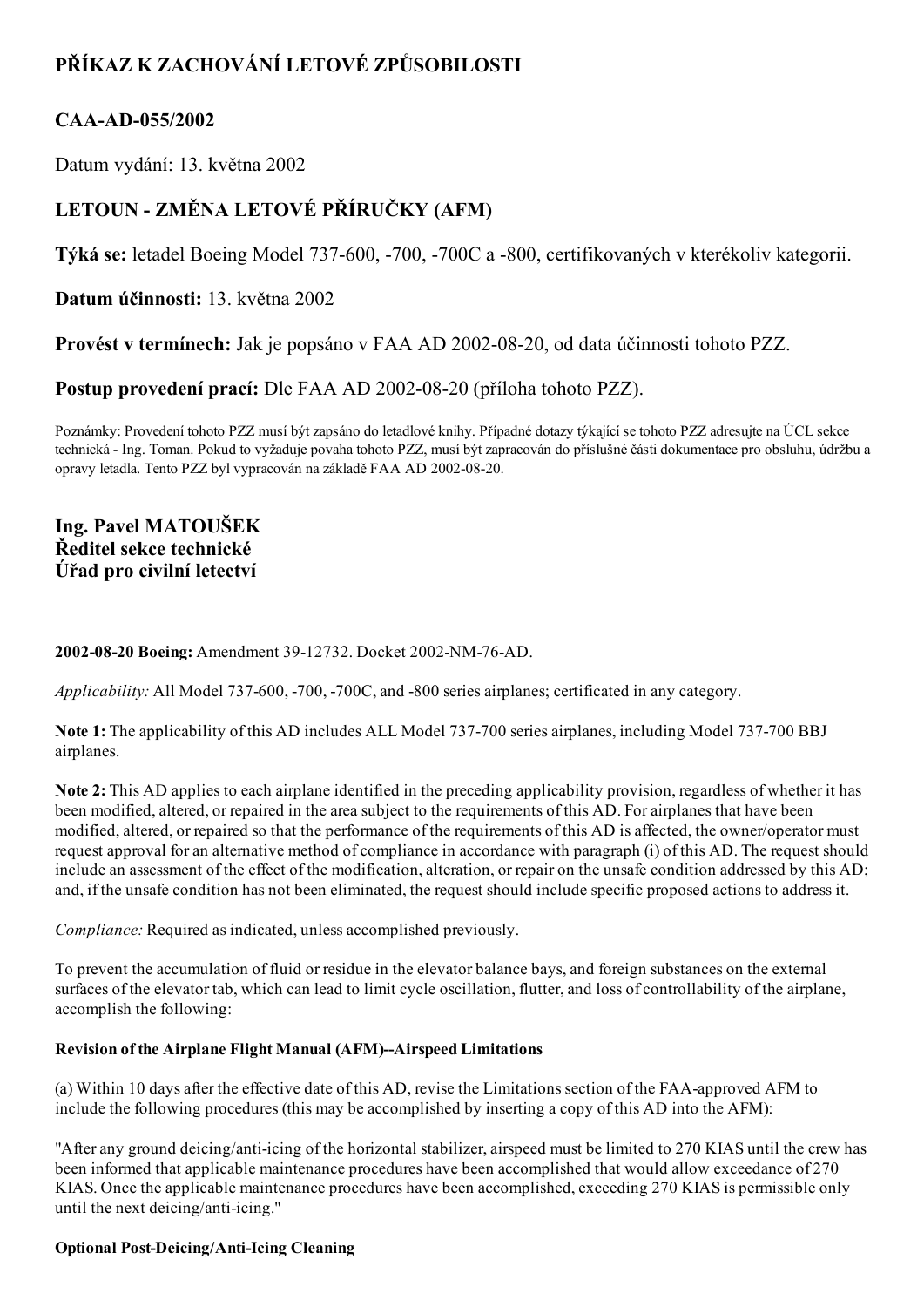# PŘÍKAZ K ZACHOVÁNÍ LETOVÉ ZPŮSOBILOSTI

## CAA-AD-055/2002

Datum vydání: 13. května 2002

# LETOUN - ZMĚNA LETOVÉ PŘÍRUČKY (AFM)

Týká se: letadel Boeing Model 737-600, -700, -700C a -800, certifikovaných v kterékoliv kategorii.

Datum účinnosti: 13. května 2002

Provést v termínech: Jak je popsáno v FAA AD 2002-08-20, od data účinnosti tohoto PZZ.

Postup provedení prací: Dle FAA AD 2002-08-20 (příloha tohoto PZZ).

Poznámky: Provedení tohoto PZZ musí být zapsáno do letadlové knihy. Případné dotazy týkající se tohoto PZZ adresujte na ÚCL sekce technická Ing. Toman. Pokud to vyžaduje povaha tohoto PZZ, musí být zapracován do příslušné části dokumentace pro obsluhu, údržbu a opravy letadla. Tento PZZ byl vypracován na základě FAA AD 2002-08-20.

## Ing. Pavel MATOUŠEK Ředitel sekce technické Úřad pro civilní letectví

## 2002-08-20 Boeing: Amendment 39-12732. Docket 2002-NM-76-AD.

Applicability: All Model 737-600, -700, -700C, and -800 series airplanes; certificated in any category.

Note 1: The applicability of this AD includes ALL Model 737-700 series airplanes, including Model 737-700 BBJ airplanes.

Note 2: This AD applies to each airplane identified in the preceding applicability provision, regardless of whether it has been modified, altered, or repaired in the area subject to the requirements of this AD. For airplanes that have been modified, altered, or repaired so that the performance of the requirements of this AD is affected, the owner/operator must request approval for an alternative method of compliance in accordance with paragraph (i) of this AD. The request should include an assessment of the effect of the modification, alteration, or repair on the unsafe condition addressed by this AD; and, if the unsafe condition has not been eliminated, the request should include specific proposed actions to address it.

Compliance: Required as indicated, unless accomplished previously.

To prevent the accumulation of fluid or residue in the elevator balance bays, and foreign substances on the external surfaces of the elevator tab, which can lead to limit cycle oscillation, flutter, and loss of controllability of the airplane, accomplish the following:

## Revision of the Airplane Flight Manual (AFM)--Airspeed Limitations

(a) Within 10 days after the effective date of this AD, revise the Limitations section of the FAA-approved AFM to include the following procedures (this may be accomplished by inserting a copy of this AD into the AFM):

"After any ground deicing/anti-icing of the horizontal stabilizer, airspeed must be limited to 270 KIAS until the crew has been informed that applicable maintenance procedures have been accomplished that would allow exceedance of 270 KIAS. Once the applicable maintenance procedures have been accomplished, exceeding 270 KIAS is permissible only until the next deicing/anti-icing."

## Optional Post-Deicing/Anti-Icing Cleaning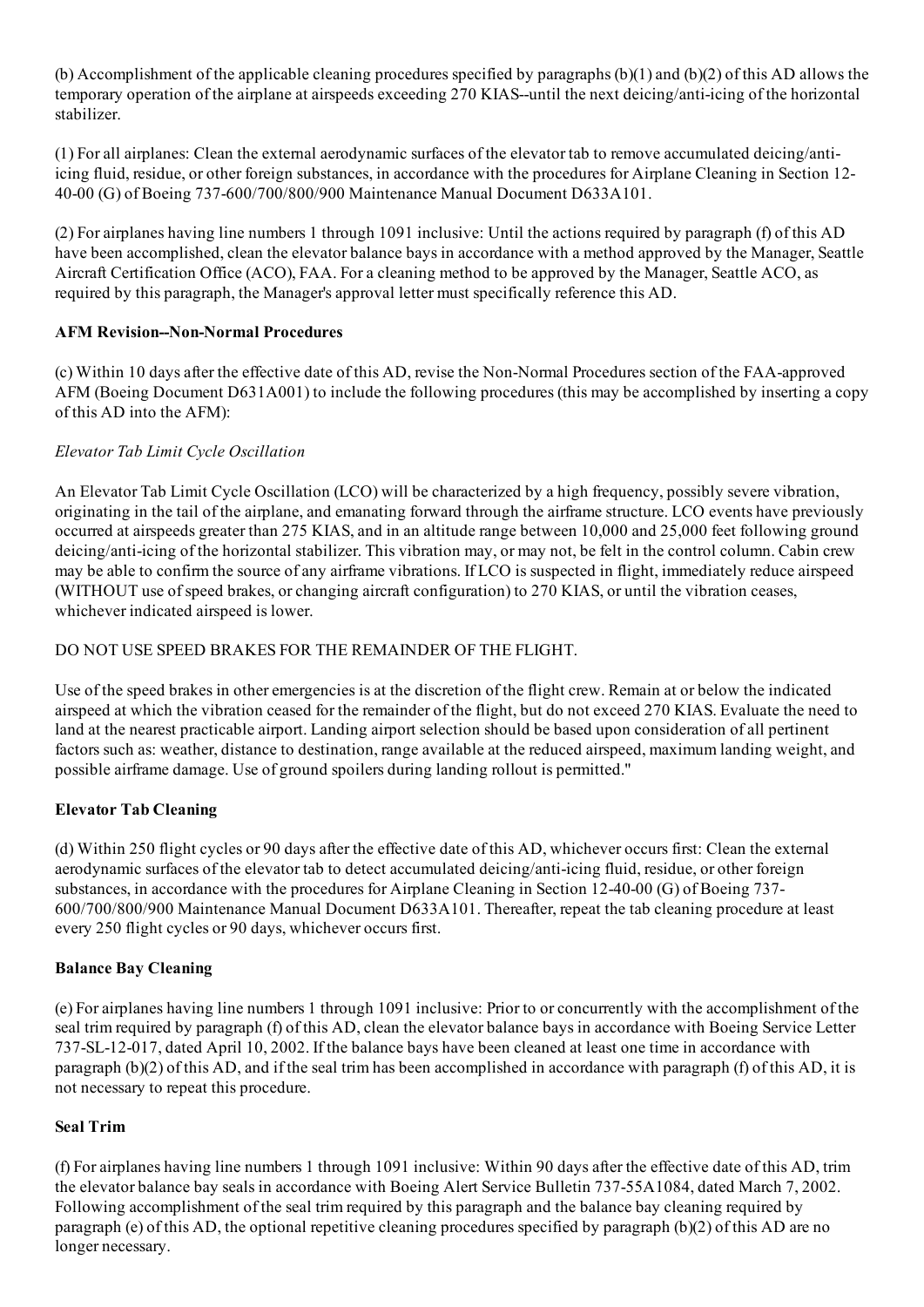(b) Accomplishment of the applicable cleaning procedures specified by paragraphs (b)(1) and (b)(2) of this AD allows the temporary operation of the airplane at airspeeds exceeding 270 KIAS--until the next deicing/anti-icing of the horizontal stabilizer.

(1) For all airplanes: Clean the external aerodynamic surfaces of the elevator tab to remove accumulated deicing/antiicing fluid, residue, or other foreign substances, in accordance with the procedures for Airplane Cleaning in Section 12 40-00 (G) of Boeing 737-600/700/800/900 Maintenance Manual Document D633A101.

(2) For airplanes having line numbers 1 through 1091 inclusive: Until the actions required by paragraph (f) of this AD have been accomplished, clean the elevator balance bays in accordance with a method approved by the Manager, Seattle Aircraft Certification Office (ACO), FAA. For a cleaning method to be approved by the Manager, Seattle ACO, as required by this paragraph, the Manager's approval letter must specifically reference this AD.

## AFM Revision--Non-Normal Procedures

(c) Within 10 days after the effective date of this AD, revise the Non-Normal Procedures section of the FAA-approved AFM (Boeing Document D631A001) to include the following procedures (this may be accomplished by inserting a copy of this AD into the AFM):

## Elevator Tab Limit Cycle Oscillation

An Elevator Tab Limit Cycle Oscillation (LCO) will be characterized by a high frequency, possibly severe vibration, originating in the tail of the airplane, and emanating forward through the airframe structure. LCO events have previously occurred at airspeeds greater than 275 KIAS, and in an altitude range between 10,000 and 25,000 feet following ground deicing/anti-icing of the horizontal stabilizer. This vibration may, or may not, be felt in the control column. Cabin crew may be able to confirm the source of any airframe vibrations. If LCO is suspected in flight, immediately reduce airspeed (WITHOUT use ofspeed brakes, or changing aircraft configuration) to 270 KIAS, or until the vibration ceases, whichever indicated airspeed is lower.

## DO NOT USE SPEED BRAKES FOR THE REMAINDER OF THE FLIGHT.

Use of the speed brakes in other emergencies is at the discretion of the flight crew. Remain at or below the indicated airspeed at which the vibration ceased for the remainder of the flight, but do not exceed 270 KIAS. Evaluate the need to land at the nearest practicable airport. Landing airport selection should be based upon consideration of all pertinent factors such as: weather, distance to destination, range available at the reduced airspeed, maximum landing weight, and possible airframe damage. Use of ground spoilers during landing rollout is permitted."

## Elevator Tab Cleaning

(d) Within 250 flight cycles or 90 days after the effective date of this AD, whichever occurs first: Clean the external aerodynamic surfaces of the elevator tab to detect accumulated deicing/anti-icing fluid, residue, or other foreign substances, in accordance with the procedures for Airplane Cleaning in Section 12-40-00 (G) of Boeing 737-600/700/800/900 Maintenance Manual Document D633A101. Thereafter, repeat the tab cleaning procedure at least every 250 flight cycles or 90 days, whichever occurs first.

#### Balance Bay Cleaning

(e) For airplanes having line numbers 1 through 1091 inclusive: Prior to or concurrently with the accomplishment of the seal trim required by paragraph (f) of this AD, clean the elevator balance bays in accordance with Boeing Service Letter 737SL12017, dated April 10, 2002. If the balance bays have been cleaned at least one time in accordance with paragraph (b)(2) of this AD, and if the seal trim has been accomplished in accordance with paragraph (f) of this AD, it is not necessary to repeat this procedure.

## Seal Trim

(f) For airplanes having line numbers 1 through 1091 inclusive: Within 90 days after the effective date of this AD, trim the elevator balance bay seals in accordance with Boeing Alert Service Bulletin 737-55A1084, dated March 7, 2002. Following accomplishment of the seal trim required by this paragraph and the balance bay cleaning required by paragraph (e) of this AD, the optional repetitive cleaning procedures specified by paragraph (b)(2) of this AD are no longer necessary.